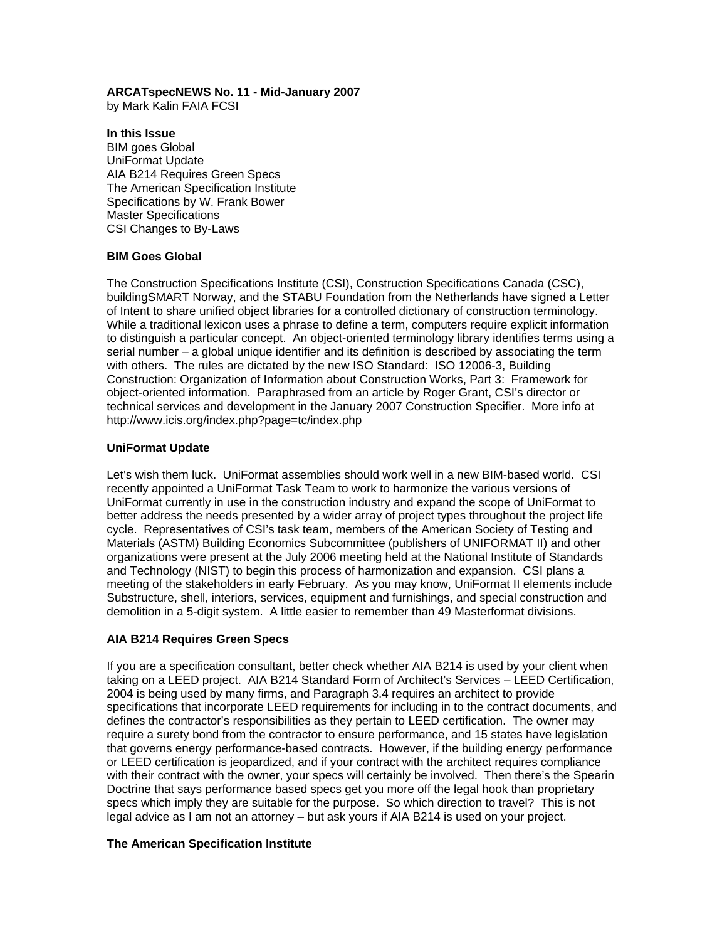## **ARCATspecNEWS No. 11 - Mid-January 2007**

by Mark Kalin FAIA FCSI

# **In this Issue**

BIM goes Global UniFormat Update AIA B214 Requires Green Specs The American Specification Institute Specifications by W. Frank Bower Master Specifications CSI Changes to By-Laws

# **BIM Goes Global**

The Construction Specifications Institute (CSI), Construction Specifications Canada (CSC), buildingSMART Norway, and the STABU Foundation from the Netherlands have signed a Letter of Intent to share unified object libraries for a controlled dictionary of construction terminology. While a traditional lexicon uses a phrase to define a term, computers require explicit information to distinguish a particular concept. An object-oriented terminology library identifies terms using a serial number – a global unique identifier and its definition is described by associating the term with others. The rules are dictated by the new ISO Standard: ISO 12006-3, Building Construction: Organization of Information about Construction Works, Part 3: Framework for object-oriented information. Paraphrased from an article by Roger Grant, CSI's director or technical services and development in the January 2007 Construction Specifier. More info at http://www.icis.org/index.php?page=tc/index.php

# **UniFormat Update**

Let's wish them luck. UniFormat assemblies should work well in a new BIM-based world. CSI recently appointed a UniFormat Task Team to work to harmonize the various versions of UniFormat currently in use in the construction industry and expand the scope of UniFormat to better address the needs presented by a wider array of project types throughout the project life cycle. Representatives of CSI's task team, members of the American Society of Testing and Materials (ASTM) Building Economics Subcommittee (publishers of UNIFORMAT II) and other organizations were present at the July 2006 meeting held at the National Institute of Standards and Technology (NIST) to begin this process of harmonization and expansion. CSI plans a meeting of the stakeholders in early February. As you may know, UniFormat II elements include Substructure, shell, interiors, services, equipment and furnishings, and special construction and demolition in a 5-digit system. A little easier to remember than 49 Masterformat divisions.

### **AIA B214 Requires Green Specs**

If you are a specification consultant, better check whether AIA B214 is used by your client when taking on a LEED project. AIA B214 Standard Form of Architect's Services – LEED Certification, 2004 is being used by many firms, and Paragraph 3.4 requires an architect to provide specifications that incorporate LEED requirements for including in to the contract documents, and defines the contractor's responsibilities as they pertain to LEED certification. The owner may require a surety bond from the contractor to ensure performance, and 15 states have legislation that governs energy performance-based contracts. However, if the building energy performance or LEED certification is jeopardized, and if your contract with the architect requires compliance with their contract with the owner, your specs will certainly be involved. Then there's the Spearin Doctrine that says performance based specs get you more off the legal hook than proprietary specs which imply they are suitable for the purpose. So which direction to travel? This is not legal advice as I am not an attorney – but ask yours if AIA B214 is used on your project.

### **The American Specification Institute**